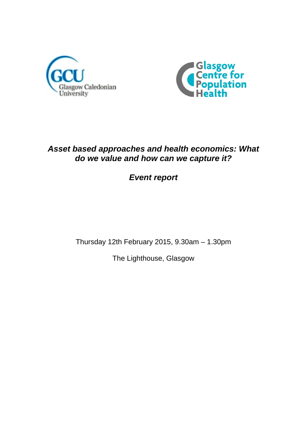



# *Asset based approaches and health economics: What do we value and how can we capture it?*

*Event report*

Thursday 12th February 2015, 9.30am – 1.30pm

The Lighthouse, Glasgow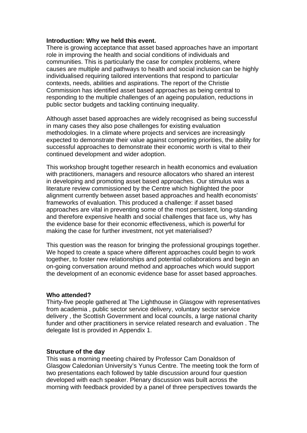#### **Introduction: Why we held this event.**

There is growing acceptance that asset based approaches have an important role in improving the health and social conditions of individuals and communities. This is particularly the case for complex problems, where causes are multiple and pathways to health and social inclusion can be highly individualised requiring tailored interventions that respond to particular contexts, needs, abilities and aspirations. The report of the Christie Commission has identified asset based approaches as being central to responding to the multiple challenges of an ageing population, reductions in public sector budgets and tackling continuing inequality.

Although asset based approaches are widely recognised as being successful in many cases they also pose challenges for existing evaluation methodologies. In a climate where projects and services are increasingly expected to demonstrate their value against competing priorities, the ability for successful approaches to demonstrate their economic worth is vital to their continued development and wider adoption.

This workshop brought together research in health economics and evaluation with practitioners, managers and resource allocators who shared an interest in developing and promoting asset based approaches. Our stimulus was a literature review commissioned by the Centre which highlighted the poor alignment currently between asset based approaches and health economists' frameworks of evaluation. This produced a challenge: if asset based approaches are vital in preventing some of the most persistent, long-standing and therefore expensive health and social challenges that face us, why has the evidence base for their economic effectiveness, which is powerful for making the case for further investment, not yet materialised?

This question was the reason for bringing the professional groupings together. We hoped to create a space where different approaches could begin to work together, to foster new relationships and potential collaborations and begin an on-going conversation around method and approaches which would support the development of an economic evidence base for asset based approaches.

#### **Who attended?**

Thirty-five people gathered at The Lighthouse in Glasgow with representatives from academia , public sector service delivery, voluntary sector service delivery , the Scottish Government and local councils, a large national charity funder and other practitioners in service related research and evaluation . The delegate list is provided in Appendix 1.

#### **Structure of the day**

This was a morning meeting chaired by Professor Cam Donaldson of Glasgow Caledonian University's Yunus Centre. The meeting took the form of two presentations each followed by table discussion around four question developed with each speaker. Plenary discussion was built across the morning with feedback provided by a panel of three perspectives towards the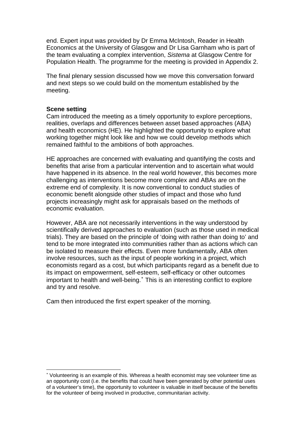end. Expert input was provided by Dr Emma McIntosh, Reader in Health Economics at the University of Glasgow and Dr Lisa Garnham who is part of the team evaluating a complex intervention, *Sistema* at Glasgow Centre for Population Health. The programme for the meeting is provided in Appendix 2.

The final plenary session discussed how we move this conversation forward and next steps so we could build on the momentum established by the meeting.

#### **Scene setting**

1

Cam introduced the meeting as a timely opportunity to explore perceptions, realities, overlaps and differences between asset based approaches (ABA) and health economics (HE). He highlighted the opportunity to explore what working together might look like and how we could develop methods which remained faithful to the ambitions of both approaches.

HE approaches are concerned with evaluating and quantifying the costs and benefits that arise from a particular intervention and to ascertain what would have happened in its absence. In the real world however, this becomes more challenging as interventions become more complex and ABAs are on the extreme end of complexity. It is now conventional to conduct studies of economic benefit alongside other studies of impact and those who fund projects increasingly might ask for appraisals based on the methods of economic evaluation.

However, ABA are not necessarily interventions in the way understood by scientifically derived approaches to evaluation (such as those used in medical trials). They are based on the principle of 'doing with rather than doing to' and tend to be more integrated into communities rather than as actions which can be isolated to measure their effects. Even more fundamentally, ABA often involve resources, such as the input of people working in a project, which economists regard as a cost, but which participants regard as a benefit due to its impact on empowerment, self-esteem, self-efficacy or other outcomes important to health and well-being. This is an interesting conflict to explore and try and resolve.

Cam then introduced the first expert speaker of the morning.

<span id="page-2-0"></span> Volunteering is an example of this. Whereas a health economist may see volunteer time as an opportunity cost (i.e. the benefits that could have been generated by other potential uses of a volunteer's time), the opportunity to volunteer is valuable in itself because of the benefits for the volunteer of being involved in productive, communitarian activity.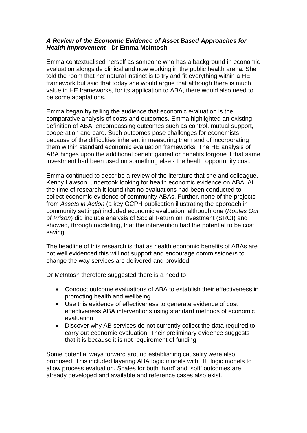## *A Review of the Economic Evidence of Asset Based Approaches for Health Improvement -* **Dr Emma McIntosh**

Emma contextualised herself as someone who has a background in economic evaluation alongside clinical and now working in the public health arena. She told the room that her natural instinct is to try and fit everything within a HE framework but said that today she would argue that although there is much value in HE frameworks, for its application to ABA, there would also need to be some adaptations.

Emma began by telling the audience that economic evaluation is the comparative analysis of costs and outcomes. Emma highlighted an existing definition of ABA, encompassing outcomes such as control, mutual support, cooperation and care. Such outcomes pose challenges for economists because of the difficulties inherent in measuring them and of incorporating them within standard economic evaluation frameworks. The HE analysis of ABA hinges upon the additional benefit gained or benefits forgone if that same investment had been used on something else - the health opportunity cost.

Emma continued to describe a review of the literature that she and colleague, Kenny Lawson, undertook looking for health economic evidence on ABA. At the time of research it found that no evaluations had been conducted to collect economic evidence of community ABAs. Further, none of the projects from *Assets in Action* (a key GCPH publication illustrating the approach in community settings) included economic evaluation, although one (*Routes Out of Prison*) did include analysis of Social Return on Investment (SROI) and showed, through modelling, that the intervention had the potential to be cost saving.

The headline of this research is that as health economic benefits of ABAs are not well evidenced this will not support and encourage commissioners to change the way services are delivered and provided.

Dr McIntosh therefore suggested there is a need to

- Conduct outcome evaluations of ABA to establish their effectiveness in promoting health and wellbeing
- Use this evidence of effectiveness to generate evidence of cost effectiveness ABA interventions using standard methods of economic evaluation
- Discover why AB services do not currently collect the data required to carry out economic evaluation. Their preliminary evidence suggests that it is because it is not requirement of funding

Some potential ways forward around establishing causality were also proposed. This included layering ABA logic models with HE logic models to allow process evaluation. Scales for both 'hard' and 'soft' outcomes are already developed and available and reference cases also exist.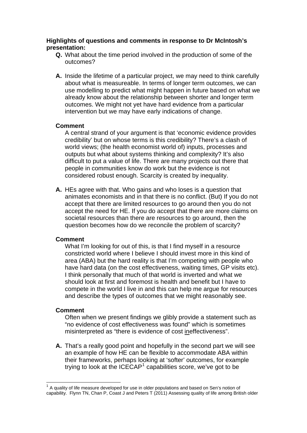## **Highlights of questions and comments in response to Dr McIntosh's presentation:**

- **Q.** What about the time period involved in the production of some of the outcomes?
- **A.** Inside the lifetime of a particular project, we may need to think carefully about what is measureable. In terms of longer term outcomes, we can use modelling to predict what might happen in future based on what we already know about the relationship between shorter and longer term outcomes. We might not yet have hard evidence from a particular intervention but we may have early indications of change.

## **Comment**

A central strand of your argument is that 'economic evidence provides credibility' but on whose terms is this credibility? There's a clash of world views; (the health economist world of) inputs, processes and outputs but what about systems thinking and complexity? It's also difficult to put a value of life. There are many projects out there that people in communities know do work but the evidence is not considered robust enough. Scarcity is created by inequality.

**A.** HEs agree with that. Who gains and who loses is a question that animates economists and in that there is no conflict. (But) If you do not accept that there are limited resources to go around then you do not accept the need for HE. If you do accept that there are more claims on societal resources than there are resources to go around, then the question becomes how do we reconcile the problem of scarcity?

#### **Comment**

What I'm looking for out of this, is that I find myself in a resource constricted world where I believe I should invest more in this kind of area (ABA) but the hard reality is that I'm competing with people who have hard data (on the cost effectiveness, waiting times, GP visits etc). I think personally that much of that world is inverted and what we should look at first and foremost is health and benefit but I have to compete in the world I live in and this can help me argue for resources and describe the types of outcomes that we might reasonably see.

## **Comment**

1

Often when we present findings we glibly provide a statement such as "no evidence of cost effectiveness was found" which is sometimes misinterpreted as "there is evidence of cost ineffectiveness".

**A.** That's a really good point and hopefully in the second part we will see an example of how HE can be flexible to accommodate ABA within their frameworks, perhaps looking at 'softer' outcomes, for example trying to look at the ICECAP<sup>[1](#page-4-0)</sup> capabilities score, we've got to be

<span id="page-4-0"></span> $1$  A quality of life measure developed for use in older populations and based on Sen's notion of capability. Flynn TN, Chan P, Coast J and Peters T (2011) Assessing quality of life among British older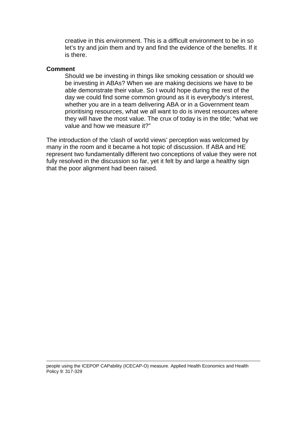creative in this environment. This is a difficult environment to be in so let's try and join them and try and find the evidence of the benefits. If it is there.

#### **Comment**

1

Should we be investing in things like smoking cessation or should we be investing in ABAs? When we are making decisions we have to be able demonstrate their value. So I would hope during the rest of the day we could find some common ground as it is everybody's interest, whether you are in a team delivering ABA or in a Government team prioritising resources, what we all want to do is invest resources where they will have the most value. The crux of today is in the title; "what we value and how we measure it?"

The introduction of the 'clash of world views' perception was welcomed by many in the room and it became a hot topic of discussion. If ABA and HE represent two fundamentally different two conceptions of value they were not fully resolved in the discussion so far, yet it felt by and large a healthy sign that the poor alignment had been raised.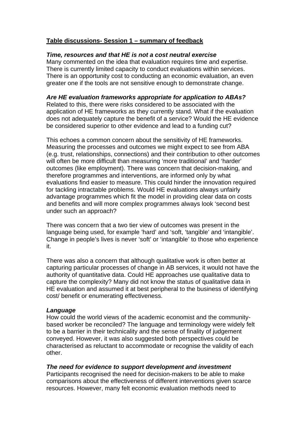## **Table discussions- Session 1 – summary of feedback**

## *Time, resources and that HE is not a cost neutral exercise*

Many commented on the idea that evaluation requires time and expertise. There is currently limited capacity to conduct evaluations within services. There is an opportunity cost to conducting an economic evaluation, an even greater one if the tools are not sensitive enough to demonstrate change.

## *Are HE evaluation frameworks appropriate for application to ABAs?*

Related to this, there were risks considered to be associated with the application of HE frameworks as they currently stand. What if the evaluation does not adequately capture the benefit of a service? Would the HE evidence be considered superior to other evidence and lead to a funding cut?

This echoes a common concern about the sensitivity of HE frameworks. Measuring the processes and outcomes we might expect to see from ABA (e.g. trust, relationships, connections) and their contribution to other outcomes will often be more difficult than measuring 'more traditional' and 'harder' outcomes (like employment). There was concern that decision-making, and therefore programmes and interventions, are informed only by what evaluations find easier to measure. This could hinder the innovation required for tackling intractable problems. Would HE evaluations always unfairly advantage programmes which fit the model in providing clear data on costs and benefits and will more complex programmes always look 'second best under such an approach?

There was concern that a two tier view of outcomes was present in the language being used, for example 'hard' and 'soft, 'tangible' and 'intangible'. Change in people's lives is never 'soft' or 'intangible' to those who experience it.

There was also a concern that although qualitative work is often better at capturing particular processes of change in AB services, it would not have the authority of quantitative data. Could HE approaches use qualitative data to capture the complexity? Many did not know the status of qualitative data in HE evaluation and assumed it at best peripheral to the business of identifying cost/ benefit or enumerating effectiveness.

#### *Language*

How could the world views of the academic economist and the communitybased worker be reconciled? The language and terminology were widely felt to be a barrier in their technicality and the sense of finality of judgement conveyed. However, it was also suggested both perspectives could be characterised as reluctant to accommodate or recognise the validity of each other.

## *The need for evidence to support development and investment*

Participants recognised the need for decision-makers to be able to make comparisons about the effectiveness of different interventions given scarce resources. However, many felt economic evaluation methods need to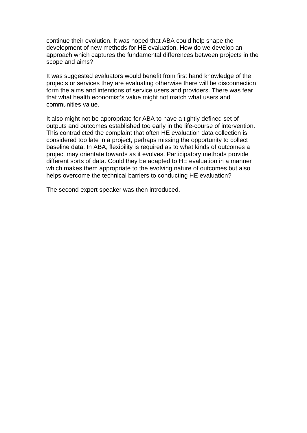continue their evolution. It was hoped that ABA could help shape the development of new methods for HE evaluation. How do we develop an approach which captures the fundamental differences between projects in the scope and aims?

It was suggested evaluators would benefit from first hand knowledge of the projects or services they are evaluating otherwise there will be disconnection form the aims and intentions of service users and providers. There was fear that what health economist's value might not match what users and communities value.

It also might not be appropriate for ABA to have a tightly defined set of outputs and outcomes established too early in the life-course of intervention. This contradicted the complaint that often HE evaluation data collection is considered too late in a project, perhaps missing the opportunity to collect baseline data. In ABA, flexibility is required as to what kinds of outcomes a project may orientate towards as it evolves. Participatory methods provide different sorts of data. Could they be adapted to HE evaluation in a manner which makes them appropriate to the evolving nature of outcomes but also helps overcome the technical barriers to conducting HE evaluation?

The second expert speaker was then introduced.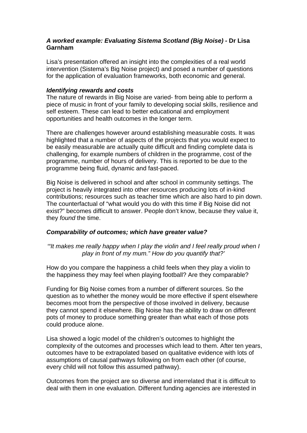## *A worked example: Evaluating Sistema Scotland (Big Noise) -* **Dr Lisa Garnham**

Lisa's presentation offered an insight into the complexities of a real world intervention (Sistema's Big Noise project) and posed a number of questions for the application of evaluation frameworks, both economic and general.

#### *Identifying rewards and costs*

The nature of rewards in Big Noise are varied- from being able to perform a piece of music in front of your family to developing social skills, resilience and self esteem. These can lead to better educational and employment opportunities and health outcomes in the longer term.

There are challenges however around establishing measurable costs. It was highlighted that a number of aspects of the projects that you would expect to be easily measurable are actually quite difficult and finding complete data is challenging, for example numbers of children in the programme, cost of the programme, number of hours of delivery. This is reported to be due to the programme being fluid, dynamic and fast-paced.

Big Noise is delivered in school and after school in community settings. The project is heavily integrated into other resources producing lots of in-kind contributions; resources such as teacher time which are also hard to pin down. The counterfactual of "what would you do with this time if Big Noise did not exist?" becomes difficult to answer. People don't know, because they value it, they *found* the time.

## *Comparability of outcomes; which have greater value?*

*'"It makes me really happy when I play the violin and I feel really proud when I play in front of my mum." How do you quantify that?'* 

How do you compare the happiness a child feels when they play a violin to the happiness they may feel when playing football? Are they comparable?

Funding for Big Noise comes from a number of different sources. So the question as to whether the money would be more effective if spent elsewhere becomes moot from the perspective of those involved in delivery, because they cannot spend it elsewhere. Big Noise has the ability to draw on different pots of money to produce something greater than what each of those pots could produce alone.

Lisa showed a logic model of the children's outcomes to highlight the complexity of the outcomes and processes which lead to them. After ten years, outcomes have to be extrapolated based on qualitative evidence with lots of assumptions of causal pathways following on from each other (of course, every child will not follow this assumed pathway).

Outcomes from the project are so diverse and interrelated that it is difficult to deal with them in one evaluation. Different funding agencies are interested in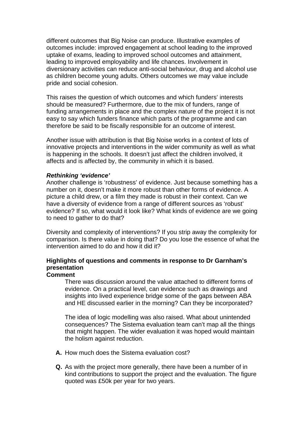different outcomes that Big Noise can produce. Illustrative examples of outcomes include: improved engagement at school leading to the improved uptake of exams, leading to improved school outcomes and attainment, leading to improved employability and life chances. Involvement in diversionary activities can reduce anti-social behaviour, drug and alcohol use as children become young adults. Others outcomes we may value include pride and social cohesion.

This raises the question of which outcomes and which funders' interests should be measured? Furthermore, due to the mix of funders, range of funding arrangements in place and the complex nature of the project it is not easy to say which funders finance which parts of the programme and can therefore be said to be fiscally responsible for an outcome of interest.

Another issue with attribution is that Big Noise works in a context of lots of innovative projects and interventions in the wider community as well as what is happening in the schools. It doesn't just affect the children involved, it affects and is affected by, the community in which it is based.

#### *Rethinking 'evidence'*

Another challenge is 'robustness' of evidence. Just because something has a number on it, doesn't make it more robust than other forms of evidence. A picture a child drew, or a film they made is robust in their context. Can we have a diversity of evidence from a range of different sources as 'robust' evidence? If so, what would it look like? What kinds of evidence are we going to need to gather to do that?

Diversity and complexity of interventions? If you strip away the complexity for comparison. Is there value in doing that? Do you lose the essence of what the intervention aimed to do and how it did it?

## **Highlights of questions and comments in response to Dr Garnham's presentation**

#### **Comment**

There was discussion around the value attached to different forms of evidence. On a practical level, can evidence such as drawings and insights into lived experience bridge some of the gaps between ABA and HE discussed earlier in the morning? Can they be incorporated?

The idea of logic modelling was also raised. What about unintended consequences? The Sistema evaluation team can't map all the things that might happen. The wider evaluation it was hoped would maintain the holism against reduction.

- **A.** How much does the Sistema evaluation cost?
- **Q.** As with the project more generally, there have been a number of in kind contributions to support the project and the evaluation. The figure quoted was £50k per year for two years.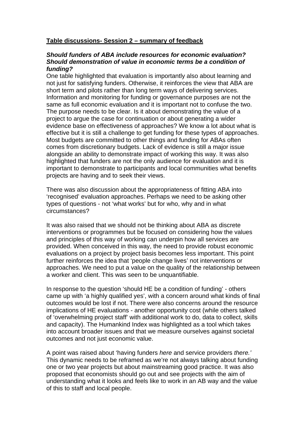## **Table discussions- Session 2 – summary of feedback**

#### *Should funders of ABA include resources for economic evaluation? Should demonstration of value in economic terms be a condition of funding?*

One table highlighted that evaluation is importantly also about learning and not just for satisfying funders. Otherwise, it reinforces the view that ABA are short term and pilots rather than long term ways of delivering services. Information and monitoring for funding or governance purposes are not the same as full economic evaluation and it is important not to confuse the two. The purpose needs to be clear. Is it about demonstrating the value of a project to argue the case for continuation or about generating a wider evidence base on effectiveness of approaches? We know a lot about what is effective but it is still a challenge to get funding for these types of approaches. Most budgets are committed to other things and funding for ABAs often comes from discretionary budgets. Lack of evidence is still a major issue alongside an ability to demonstrate impact of working this way. It was also highlighted that funders are not the only audience for evaluation and it is important to demonstrate to participants and local communities what benefits projects are having and to seek their views.

There was also discussion about the appropriateness of fitting ABA into 'recognised' evaluation approaches. Perhaps we need to be asking other types of questions - not 'what works' but for who, why and in what circumstances?

It was also raised that we should not be thinking about ABA as discrete interventions or programmes but be focused on considering how the values and principles of this way of working can underpin how all services are provided. When conceived in this way, the need to provide robust economic evaluations on a project by project basis becomes less important. This point further reinforces the idea that 'people change lives' not interventions or approaches. We need to put a value on the quality of the relationship between a worker and client. This was seen to be unquantifiable.

In response to the question 'should HE be a condition of funding' - others came up with 'a highly qualified yes', with a concern around what kinds of final outcomes would be lost if not. There were also concerns around the resource implications of HE evaluations - another opportunity cost (while others talked of 'overwhelming project staff' with additional work to do, data to collect, skills and capacity). The Humankind Index was highlighted as a tool which takes into account broader issues and that we measure ourselves against societal outcomes and not just economic value.

A point was raised about 'having funders *here* and service providers *there.'*  This dynamic needs to be reframed as we're not always talking about funding one or two year projects but about mainstreaming good practice. It was also proposed that economists should go out and see projects with the aim of understanding what it looks and feels like to work in an AB way and the value of this to staff and local people.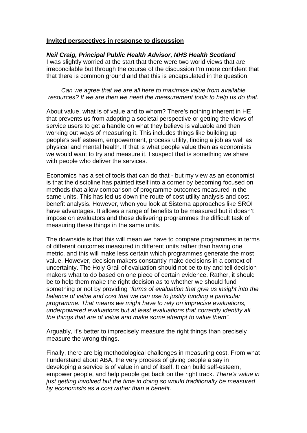#### **Invited perspectives in response to discussion**

## *Neil Craig, Principal Public Health Advisor, NHS Health Scotland*

I was slightly worried at the start that there were two world views that are irreconcilable but through the course of the discussion I'm more confident that that there is common ground and that this is encapsulated in the question:

*Can we agree that we are all here to maximise value from available resources? If we are then we need the measurement tools to help us do that.* 

About value, what is of value and to whom? There's nothing inherent in HE that prevents us from adopting a societal perspective or getting the views of service users to get a handle on what they believe is valuable and then working out ways of measuring it. This includes things like building up people's self esteem, empowerment, process utility, finding a job as well as physical and mental health. If that is what people value then as economists we would want to try and measure it. I suspect that is something we share with people who deliver the services.

Economics has a set of tools that can do that - but my view as an economist is that the discipline has painted itself into a corner by becoming focused on methods that allow comparison of programme outcomes measured in the same units. This has led us down the route of cost utility analysis and cost benefit analysis. However, when you look at Sistema approaches like SROI have advantages. It allows a range of benefits to be measured but it doesn't impose on evaluators and those delivering programmes the difficult task of measuring these things in the same units.

The downside is that this will mean we have to compare programmes in terms of different outcomes measured in different units rather than having one metric, and this will make less certain which programmes generate the most value. However, decision makers constantly make decisions in a context of uncertainty. The Holy Grail of evaluation should not be to try and tell decision makers what to do based on one piece of certain evidence. Rather, it should be to help them make the right decision as to whether we should fund something or not by providing *"forms of evaluation that give us insight into the balance of value and cost that we can use to justify funding a particular programme. That means we might have to rely on imprecise evaluations, underpowered evaluations but at least evaluations that correctly identify all the things that are of value and make some attempt to value them".* 

Arguably, it's better to imprecisely measure the right things than precisely measure the wrong things.

Finally, there are big methodological challenges in measuring cost. From what I understand about ABA, the very process of giving people a say in developing a service is of value in and of itself. It can build self-esteem, empower people, and help people get back on the right track. *There's value in just getting involved but the time in doing so would traditionally be measured by economists as a cost rather than a benefit.*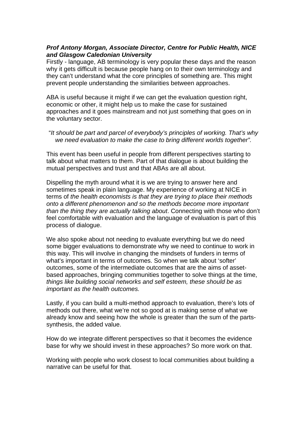## *Prof Antony Morgan, Associate Director, Centre for Public Health, NICE and Glasgow Caledonian University*

Firstly - language, AB terminology is very popular these days and the reason why it gets difficult is because people hang on to their own terminology and they can't understand what the core principles of something are. This might prevent people understanding the similarities between approaches.

ABA is useful because it might if we can get the evaluation question right, economic or other, it might help us to make the case for sustained approaches and it goes mainstream and not just something that goes on in the voluntary sector.

"*It should be part and parcel of everybody's principles of working. That's why we need evaluation to make the case to bring different worlds together".* 

This event has been useful in people from different perspectives starting to talk about what matters to them. Part of that dialogue is about building the mutual perspectives and trust and that ABAs are all about.

Dispelling the myth around what it is we are trying to answer here and sometimes speak in plain language. My experience of working at NICE in terms of *the health economists is that they are trying to place their methods onto a different phenomenon and so the methods become more important than the thing they are actually talking about*. Connecting with those who don't feel comfortable with evaluation and the language of evaluation is part of this process of dialogue.

We also spoke about not needing to evaluate everything but we do need some bigger evaluations to demonstrate why we need to continue to work in this way. This will involve in changing the mindsets of funders in terms of what's important in terms of outcomes. So when we talk about 'softer' outcomes, some of the intermediate outcomes that are the aims of assetbased approaches, bringing communities together to solve things at the time, *things like building social networks and self esteem, these should be as important as the health outcomes.* 

Lastly, if you can build a multi-method approach to evaluation, there's lots of methods out there, what we're not so good at is making sense of what we already know and seeing how the whole is greater than the sum of the partssynthesis, the added value.

How do we integrate different perspectives so that it becomes the evidence base for why we should invest in these approaches? So more work on that.

Working with people who work closest to local communities about building a narrative can be useful for that.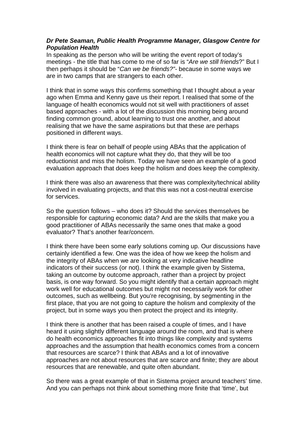## *Dr Pete Seaman, Public Health Programme Manager, Glasgow Centre for Population Health*

In speaking as the person who will be writing the event report of today's meetings - the title that has come to me of so far is "*Are we still friends*?" But I then perhaps it should be "*Can we be friends?"-* because in some ways we are in two camps that are strangers to each other.

I think that in some ways this confirms something that I thought about a year ago when Emma and Kenny gave us their report. I realised that some of the language of health economics would not sit well with practitioners of asset based approaches - with a lot of the discussion this morning being around finding common ground, about learning to trust one another, and about realising that we have the same aspirations but that these are perhaps positioned in different ways.

I think there is fear on behalf of people using ABAs that the application of health economics will not capture what they do, that they will be too reductionist and miss the holism. Today we have seen an example of a good evaluation approach that does keep the holism and does keep the complexity.

I think there was also an awareness that there was complexity/technical ability involved in evaluating projects, and that this was not a cost-neutral exercise for services.

So the question follows – who does it? Should the services themselves be responsible for capturing economic data? And are the skills that make you a good practitioner of ABAs necessarily the same ones that make a good evaluator? That's another fear/concern.

I think there have been some early solutions coming up. Our discussions have certainly identified a few. One was the idea of how we keep the holism and the integrity of ABAs when we are looking at very indicative headline indicators of their success (or not). I think the example given by Sistema, taking an outcome by outcome approach, rather than a project by project basis, is one way forward. So you might identify that a certain approach might work well for educational outcomes but might not necessarily work for other outcomes, such as wellbeing. But you're recognising, by segmenting in the first place, that you are not going to capture the holism and complexity of the project, but in some ways you then protect the project and its integrity.

I think there is another that has been raised a couple of times, and I have heard it using slightly different language around the room, and that is where do health economics approaches fit into things like complexity and systems approaches and the assumption that health economics comes from a concern that resources are scarce? I think that ABAs and a lot of innovative approaches are not about resources that are scarce and finite; they are about resources that are renewable, and quite often abundant.

So there was a great example of that in Sistema project around teachers' time. And you can perhaps not think about something more finite that 'time', but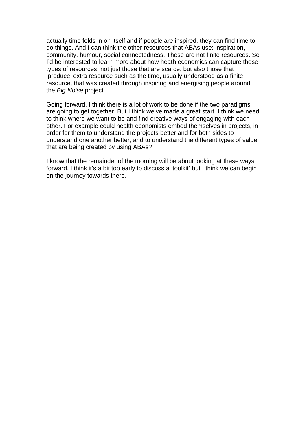actually time folds in on itself and if people are inspired, they can find time to do things. And I can think the other resources that ABAs use: inspiration, community, humour, social connectedness. These are not finite resources. So I'd be interested to learn more about how heath economics can capture these types of resources, not just those that are scarce, but also those that 'produce' extra resource such as the time, usually understood as a finite resource, that was created through inspiring and energising people around the *Big Noise* project.

Going forward, I think there is a lot of work to be done if the two paradigms are going to get together. But I think we've made a great start. I think we need to think where we want to be and find creative ways of engaging with each other. For example could health economists embed themselves in projects, in order for them to understand the projects better and for both sides to understand one another better, and to understand the different types of value that are being created by using ABAs?

I know that the remainder of the morning will be about looking at these ways forward. I think it's a bit too early to discuss a 'toolkit' but I think we can begin on the journey towards there.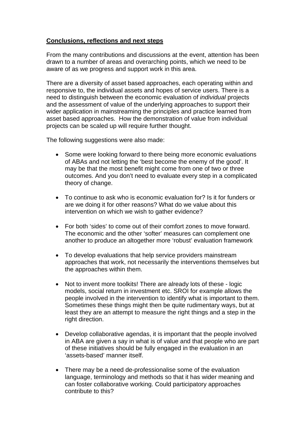## **Conclusions, reflections and next steps**

From the many contributions and discussions at the event, attention has been drawn to a number of areas and overarching points, which we need to be aware of as we progress and support work in this area.

There are a diversity of asset based approaches, each operating within and responsive to, the individual assets and hopes of service users. There is a need to distinguish between the economic evaluation of *individual* projects and the assessment of value of the underlying approaches to support their wider application in mainstreaming the principles and practice learned from asset based approaches. How the demonstration of value from individual projects can be scaled up will require further thought.

The following suggestions were also made:

- Some were looking forward to there being more economic evaluations of ABAs and not letting the 'best become the enemy of the good'. It may be that the most benefit might come from one of two or three outcomes. And you don't need to evaluate every step in a complicated theory of change.
- To continue to ask who is economic evaluation for? Is it for funders or are we doing it for other reasons? What do we value about this intervention on which we wish to gather evidence?
- For both 'sides' to come out of their comfort zones to move forward. The economic and the other 'softer' measures can complement one another to produce an altogether more 'robust' evaluation framework
- To develop evaluations that help service providers mainstream approaches that work, not necessarily the interventions themselves but the approaches within them.
- Not to invent more toolkits! There are already lots of these logic models, social return in investment etc. SROI for example allows the people involved in the intervention to identify what is important to them. Sometimes these things might then be quite rudimentary ways, but at least they are an attempt to measure the right things and a step in the right direction.
- Develop collaborative agendas, it is important that the people involved in ABA are given a say in what is of value and that people who are part of these initiatives should be fully engaged in the evaluation in an 'assets-based' manner itself.
- There may be a need de-professionalise some of the evaluation language, terminology and methods so that it has wider meaning and can foster collaborative working. Could participatory approaches contribute to this?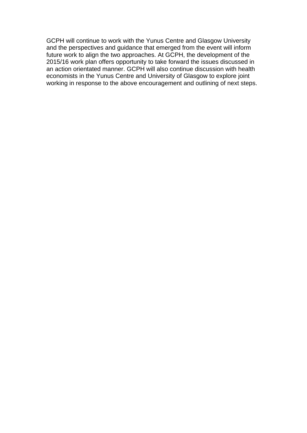GCPH will continue to work with the Yunus Centre and Glasgow University and the perspectives and guidance that emerged from the event will inform future work to align the two approaches. At GCPH, the development of the 2015/16 work plan offers opportunity to take forward the issues discussed in an action orientated manner. GCPH will also continue discussion with health economists in the Yunus Centre and University of Glasgow to explore joint working in response to the above encouragement and outlining of next steps.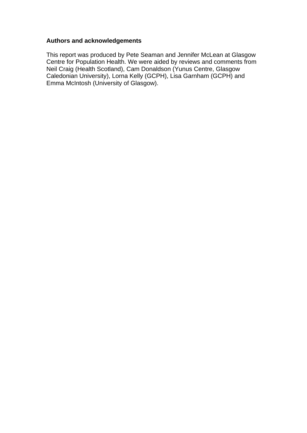## **Authors and acknowledgements**

This report was produced by Pete Seaman and Jennifer McLean at Glasgow Centre for Population Health. We were aided by reviews and comments from Neil Craig (Health Scotland), Cam Donaldson (Yunus Centre, Glasgow Caledonian University), Lorna Kelly (GCPH), Lisa Garnham (GCPH) and Emma McIntosh (University of Glasgow).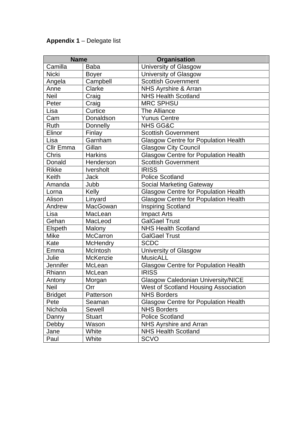# **Appendix 1** – Delegate list

| <b>Name</b>      |                  | Organisation                                |
|------------------|------------------|---------------------------------------------|
| Camilla          | <b>Baba</b>      | <b>University of Glasgow</b>                |
| <b>Nicki</b>     | <b>Boyer</b>     | University of Glasgow                       |
| Angela           | Campbell         | <b>Scottish Government</b>                  |
| Anne             | Clarke           | NHS Ayrshire & Arran                        |
| <b>Neil</b>      | Craig            | <b>NHS Health Scotland</b>                  |
| Peter            | Craig            | <b>MRC SPHSU</b>                            |
| Lisa             | Curtice          | The Alliance                                |
| Cam              | Donaldson        | <b>Yunus Centre</b>                         |
| <b>Ruth</b>      | Donnelly         | <b>NHS GG&amp;C</b>                         |
| Elinor           | Finlay           | <b>Scottish Government</b>                  |
| Lisa             | Garnham          | <b>Glasgow Centre for Population Health</b> |
| <b>Cllr Emma</b> | Gillan           | <b>Glasgow City Council</b>                 |
| <b>Chris</b>     | <b>Harkins</b>   | <b>Glasgow Centre for Population Health</b> |
| Donald           | Henderson        | <b>Scottish Government</b>                  |
| <b>Rikke</b>     | <b>Iversholt</b> | <b>IRISS</b>                                |
| Keith            | <b>Jack</b>      | <b>Police Scotland</b>                      |
| Amanda           | Jubb             | <b>Social Marketing Gateway</b>             |
| Lorna            | Kelly            | <b>Glasgow Centre for Population Health</b> |
| Alison           | Linyard          | <b>Glasgow Centre for Population Health</b> |
| Andrew           | MacGowan         | <b>Inspiring Scotland</b>                   |
| Lisa             | MacLean          | <b>Impact Arts</b>                          |
| Gehan            | MacLeod          | <b>GalGael Trust</b>                        |
| Elspeth          | Malony           | <b>NHS Health Scotland</b>                  |
| <b>Mike</b>      | <b>McCarron</b>  | <b>GalGael Trust</b>                        |
| Kate             | <b>McHendry</b>  | <b>SCDC</b>                                 |
| Emma             | McIntosh         | University of Glasgow                       |
| Julie            | McKenzie         | <b>MusicALL</b>                             |
| Jennifer         | McLean           | <b>Glasgow Centre for Population Health</b> |
| Rhiann           | McLean           | <b>IRISS</b>                                |
| Antony           | Morgan           | <b>Glasgow Caledonian University/NICE</b>   |
| Neil             | Orr              | <b>West of Scotland Housing Association</b> |
| <b>Bridget</b>   | Patterson        | <b>NHS Borders</b>                          |
| Pete             | Seaman           | <b>Glasgow Centre for Population Health</b> |
| Nichola          | Sewell           | <b>NHS Borders</b>                          |
| Danny            | <b>Stuart</b>    | <b>Police Scotland</b>                      |
| Debby            | Wason            | <b>NHS Ayrshire and Arran</b>               |
| Jane             | White            | <b>NHS Health Scotland</b>                  |
| Paul             | White            | <b>SCVO</b>                                 |